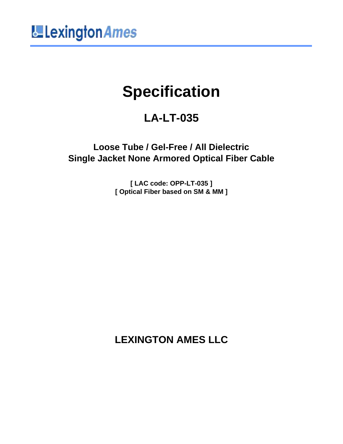

# **Specification**

# **LA-LT-035**

**Loose Tube / Gel-Free / All Dielectric Single Jacket None Armored Optical Fiber Cable**

> **[ LAC code: OPP-LT-035 ] [ Optical Fiber based on SM & MM ]**

> **LEXINGTON AMES LLC**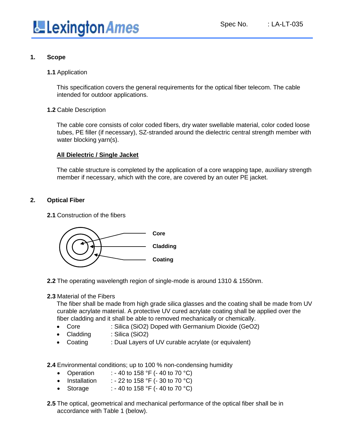

#### **1. Scope**

**1.1** Application

This specification covers the general requirements for the optical fiber telecom. The cable intended for outdoor applications.

**1.2** Cable Description

The cable core consists of color coded fibers, dry water swellable material, color coded loose tubes, PE filler (if necessary), SZ-stranded around the dielectric central strength member with water blocking yarn(s).

#### **All Dielectric / Single Jacket**

The cable structure is completed by the application of a core wrapping tape, auxiliary strength member if necessary, which with the core, are covered by an outer PE jacket.

#### **2. Optical Fiber**

**2.1** Construction of the fibers



- **2.2** The operating wavelength region of single-mode is around 1310 & 1550nm.
- **2.3** Material of the Fibers

The fiber shall be made from high grade silica glasses and the coating shall be made from UV curable acrylate material. A protective UV cured acrylate coating shall be applied over the fiber cladding and it shall be able to removed mechanically or chemically.

- Core : Silica (SiO2) Doped with Germanium Dioxide (GeO2)
- Cladding : Silica (SiO2)
- Coating : Dual Layers of UV curable acrylate (or equivalent)

**2.4** Environmental conditions; up to 100 % non-condensing humidity

- Operation : 40 to 158 °F (- 40 to 70 °C)
- Installation : 22 to 158  $\degree$ F (- 30 to 70  $\degree$ C)
- Storage : 40 to 158 °F (- 40 to 70 °C)
- **2.5** The optical, geometrical and mechanical performance of the optical fiber shall be in accordance with Table 1 (below).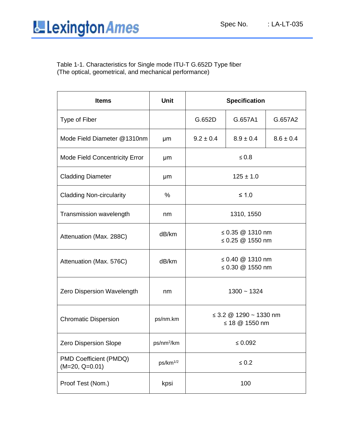#### Table 1-1. Characteristics for Single mode ITU-T G.652D Type fiber (The optical, geometrical, and mechanical performance)

| <b>Items</b>                               | <b>Unit</b>            | <b>Specification</b>                          |               |               |
|--------------------------------------------|------------------------|-----------------------------------------------|---------------|---------------|
| Type of Fiber                              |                        | G.652D                                        | G.657A1       | G.657A2       |
| Mode Field Diameter @1310nm                | μm                     | $9.2 \pm 0.4$                                 | $8.9 \pm 0.4$ | $8.6 \pm 0.4$ |
| Mode Field Concentricity Error             | μm                     | $\leq 0.8$                                    |               |               |
| <b>Cladding Diameter</b>                   | μm                     | $125 \pm 1.0$                                 |               |               |
| <b>Cladding Non-circularity</b>            | %                      | $≤ 1.0$                                       |               |               |
| Transmission wavelength                    | nm                     | 1310, 1550                                    |               |               |
| Attenuation (Max. 288C)                    | dB/km                  | ≤ 0.35 $@$ 1310 nm<br>≤ 0.25 $@$ 1550 nm      |               |               |
| Attenuation (Max. 576C)                    | dB/km                  | ≤ 0.40 $@$ 1310 nm<br>≤ 0.30 $@$ 1550 nm      |               |               |
| Zero Dispersion Wavelength                 | nm                     | $1300 - 1324$                                 |               |               |
| <b>Chromatic Dispersion</b>                | ps/nm.km               | $\leq$ 3.2 @ 1290 ~ 1330 nm<br>≤ 18 @ 1550 nm |               |               |
| Zero Dispersion Slope                      | ps/nm <sup>2</sup> /km | $\leq 0.092$                                  |               |               |
| PMD Coefficient (PMDQ)<br>$(M=20, Q=0.01)$ | ps/km <sup>1/2</sup>   | $\leq 0.2$                                    |               |               |
| Proof Test (Nom.)                          | kpsi                   | 100                                           |               |               |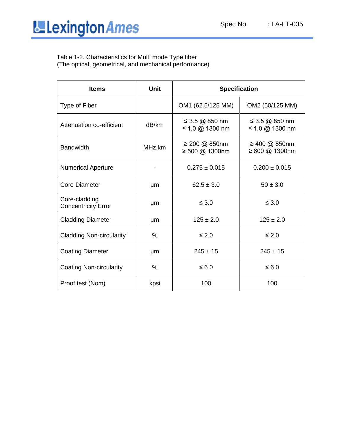

Table 1-2. Characteristics for Multi mode Type fiber (The optical, geometrical, and mechanical performance)

| <b>Items</b>                                | <b>Unit</b> | <b>Specification</b>                      |                                   |  |
|---------------------------------------------|-------------|-------------------------------------------|-----------------------------------|--|
| Type of Fiber                               |             | OM1 (62.5/125 MM)                         | OM2 (50/125 MM)                   |  |
| Attenuation co-efficient                    | dB/km       | ≤ 3.5 @ 850 nm<br>≤ 1.0 @ 1300 nm         | ≤ 3.5 @ 850 nm<br>≤ 1.0 @ 1300 nm |  |
| <b>Bandwidth</b>                            | MHz.km      | $\geq 200$ @ 850nm<br>$\geq 500$ @ 1300nm | ≥ 400 @ 850nm<br>≥ 600 @ 1300nm   |  |
| <b>Numerical Aperture</b>                   |             | $0.275 \pm 0.015$                         | $0.200 \pm 0.015$                 |  |
| <b>Core Diameter</b>                        | μm          | $62.5 \pm 3.0$                            | $50 \pm 3.0$                      |  |
| Core-cladding<br><b>Concentricity Error</b> | μm          | $\leq 3.0$                                | $\leq 3.0$                        |  |
| <b>Cladding Diameter</b>                    | μm          | $125 \pm 2.0$                             | $125 \pm 2.0$                     |  |
| <b>Cladding Non-circularity</b>             | $\%$        | $\leq 2.0$                                | $\leq 2.0$                        |  |
| <b>Coating Diameter</b>                     | μm          | $245 \pm 15$                              | $245 \pm 15$                      |  |
| <b>Coating Non-circularity</b>              | $\%$        | $\leq 6.0$                                | $\leq 6.0$                        |  |
| Proof test (Nom)                            | kpsi        | 100                                       | 100                               |  |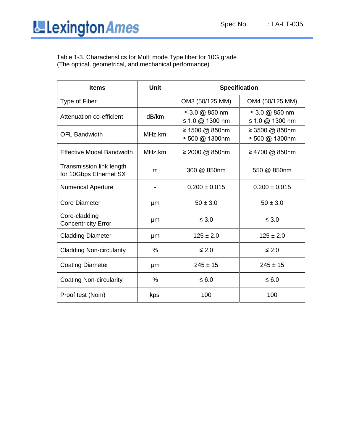Table 1-3. Characteristics for Multi mode Type fiber for 10G grade (The optical, geometrical, and mechanical performance)

| <b>Items</b>                                       | <b>Unit</b>   | <b>Specification</b>              |                                   |  |
|----------------------------------------------------|---------------|-----------------------------------|-----------------------------------|--|
| Type of Fiber                                      |               | OM3 (50/125 MM)                   | OM4 (50/125 MM)                   |  |
| Attenuation co-efficient                           | dB/km         | ≤ 3.0 @ 850 nm<br>≤ 1.0 @ 1300 nm | ≤ 3.0 @ 850 nm<br>≤ 1.0 @ 1300 nm |  |
| <b>OFL Bandwidth</b>                               | MHz.km        | ≥ 1500 @ 850nm<br>≥ 500 @ 1300nm  | ≥ 3500 @ 850nm<br>≥ 500 @ 1300nm  |  |
| <b>Effective Modal Bandwidth</b>                   | MHz.km        | ≥ 2000 @ 850nm                    | ≥ 4700 @ 850nm                    |  |
| Transmission link length<br>for 10Gbps Ethernet SX | m             | 300 @ 850nm                       | 550 @ 850nm                       |  |
| <b>Numerical Aperture</b>                          |               | $0.200 \pm 0.015$                 | $0.200 \pm 0.015$                 |  |
| <b>Core Diameter</b>                               | μm            | $50 \pm 3.0$                      | $50 \pm 3.0$                      |  |
| Core-cladding<br><b>Concentricity Error</b>        | µm            | $\leq 3.0$                        | $\leq 3.0$                        |  |
| <b>Cladding Diameter</b>                           | µm            | $125 \pm 2.0$                     | $125 \pm 2.0$                     |  |
| <b>Cladding Non-circularity</b>                    | $\%$          | $\leq 2.0$                        | $\leq 2.0$                        |  |
| <b>Coating Diameter</b>                            | μm            | $245 \pm 15$                      | $245 \pm 15$                      |  |
| <b>Coating Non-circularity</b>                     | $\frac{0}{0}$ | $\leq 6.0$                        | $\leq 6.0$                        |  |
| Proof test (Nom)                                   | kpsi          | 100                               | 100                               |  |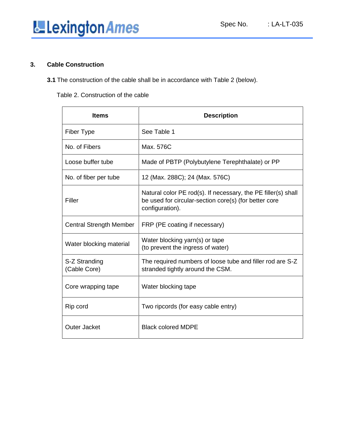

#### **3. Cable Construction**

**3.1** The construction of the cable shall be in accordance with Table 2 (below).

Table 2. Construction of the cable

| <b>Items</b>                   | <b>Description</b>                                                                                                                        |
|--------------------------------|-------------------------------------------------------------------------------------------------------------------------------------------|
| Fiber Type                     | See Table 1                                                                                                                               |
| No. of Fibers                  | Max. 576C                                                                                                                                 |
| Loose buffer tube              | Made of PBTP (Polybutylene Terephthalate) or PP                                                                                           |
| No. of fiber per tube          | 12 (Max. 288C); 24 (Max. 576C)                                                                                                            |
| Filler                         | Natural color PE rod(s). If necessary, the PE filler(s) shall<br>be used for circular-section core(s) (for better core<br>configuration). |
| <b>Central Strength Member</b> | FRP (PE coating if necessary)                                                                                                             |
| Water blocking material        | Water blocking yarn(s) or tape<br>(to prevent the ingress of water)                                                                       |
| S-Z Stranding<br>(Cable Core)  | The required numbers of loose tube and filler rod are S-Z<br>stranded tightly around the CSM.                                             |
| Core wrapping tape             | Water blocking tape                                                                                                                       |
| Rip cord                       | Two ripcords (for easy cable entry)                                                                                                       |
| Outer Jacket                   | <b>Black colored MDPE</b>                                                                                                                 |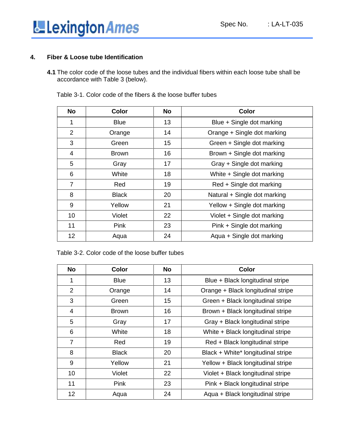

#### **4. Fiber & Loose tube Identification**

**4.1** The color code of the loose tubes and the individual fibers within each loose tube shall be accordance with Table 3 (below).

| <b>No</b>      | Color        | <b>No</b> | Color                        |
|----------------|--------------|-----------|------------------------------|
| 1              | <b>Blue</b>  | 13        | Blue + Single dot marking    |
| $\overline{2}$ | Orange       | 14        | Orange + Single dot marking  |
| 3              | Green        | 15        | Green + Single dot marking   |
| 4              | <b>Brown</b> | 16        | Brown + Single dot marking   |
| 5              | Gray         | 17        | Gray + Single dot marking    |
| 6              | White        | 18        | White + Single dot marking   |
| $\overline{7}$ | Red          | 19        | Red + Single dot marking     |
| 8              | <b>Black</b> | 20        | Natural + Single dot marking |
| 9              | Yellow       | 21        | Yellow + Single dot marking  |
| 10             | Violet       | 22        | Violet + Single dot marking  |
| 11             | Pink         | 23        | Pink + Single dot marking    |
| 12             | Aqua         | 24        | Aqua + Single dot marking    |

Table 3-1. Color code of the fibers & the loose buffer tubes

Table 3-2. Color code of the loose buffer tubes

| <b>No</b>      | <b>Color</b> | <b>No</b> | Color                              |
|----------------|--------------|-----------|------------------------------------|
|                | <b>Blue</b>  | 13        | Blue + Black longitudinal stripe   |
| 2              | Orange       | 14        | Orange + Black longitudinal stripe |
| 3              | Green        | 15        | Green + Black longitudinal stripe  |
| 4              | <b>Brown</b> | 16        | Brown + Black longitudinal stripe  |
| 5              | Gray         | 17        | Gray + Black longitudinal stripe   |
| 6              | White        | 18        | White + Black longitudinal stripe  |
| $\overline{7}$ | Red          | 19        | Red + Black longitudinal stripe    |
| 8              | <b>Black</b> | 20        | Black + White* longitudinal stripe |
| 9              | Yellow       | 21        | Yellow + Black longitudinal stripe |
| 10             | Violet       | 22        | Violet + Black longitudinal stripe |
| 11             | Pink         | 23        | Pink + Black longitudinal stripe   |
| 12             | Aqua         | 24        | Aqua + Black longitudinal stripe   |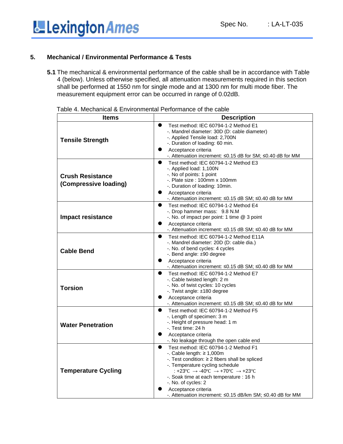

#### **5. Mechanical / Environmental Performance & Tests**

**5.1** The mechanical & environmental performance of the cable shall be in accordance with Table 4 (below). Unless otherwise specified, all attenuation measurements required in this section shall be performed at 1550 nm for single mode and at 1300 nm for multi mode fiber. The measurement equipment error can be occurred in range of 0.02dB.

| <b>Description</b><br><b>Items</b><br>$\bullet$<br>Test method: IEC 60794-1-2 Method E1<br>-. Mandrel diameter: 30D (D: cable diameter)<br>-. Applied Tensile load: 2,700N<br><b>Tensile Strength</b><br>-. Duration of loading: 60 min.<br>Acceptance criteria<br>-. Attenuation increment: ≤0.15 dB for SM; ≤0.40 dB for MM |
|-------------------------------------------------------------------------------------------------------------------------------------------------------------------------------------------------------------------------------------------------------------------------------------------------------------------------------|
|                                                                                                                                                                                                                                                                                                                               |
|                                                                                                                                                                                                                                                                                                                               |
|                                                                                                                                                                                                                                                                                                                               |
|                                                                                                                                                                                                                                                                                                                               |
|                                                                                                                                                                                                                                                                                                                               |
|                                                                                                                                                                                                                                                                                                                               |
| Test method: IEC 60794-1-2 Method E3<br>$\bullet$                                                                                                                                                                                                                                                                             |
| -. Applied load: 1,100N                                                                                                                                                                                                                                                                                                       |
| -. No of points: 1 point<br><b>Crush Resistance</b>                                                                                                                                                                                                                                                                           |
| $-$ . Plate size : 100mm x 100mm                                                                                                                                                                                                                                                                                              |
| (Compressive loading)<br>-. Duration of loading: 10min.                                                                                                                                                                                                                                                                       |
| Acceptance criteria                                                                                                                                                                                                                                                                                                           |
| -. Attenuation increment: ≤0.15 dB SM; ≤0.40 dB for MM                                                                                                                                                                                                                                                                        |
| $\bullet$<br>Test method: IEC 60794-1-2 Method E4                                                                                                                                                                                                                                                                             |
| -. Drop hammer mass: 9.8 N.M                                                                                                                                                                                                                                                                                                  |
| Impact resistance<br>-. No. of impact per point: 1 time @ 3 point                                                                                                                                                                                                                                                             |
| Acceptance criteria                                                                                                                                                                                                                                                                                                           |
| -. Attenuation increment: ≤0.15 dB SM; ≤0.40 dB for MM                                                                                                                                                                                                                                                                        |
| $\bullet$<br>Test method: IEC 60794-1-2 Method E11A                                                                                                                                                                                                                                                                           |
| -. Mandrel diameter: 20D (D: cable dia.)                                                                                                                                                                                                                                                                                      |
| -. No. of bend cycles: 4 cycles<br><b>Cable Bend</b>                                                                                                                                                                                                                                                                          |
| -. Bend angle: ±90 degree                                                                                                                                                                                                                                                                                                     |
| Acceptance criteria<br>-. Attenuation increment: ≤0.15 dB SM; ≤0.40 dB for MM                                                                                                                                                                                                                                                 |
| Test method: IEC 60794-1-2 Method E7<br>$\bullet$                                                                                                                                                                                                                                                                             |
| -. Cable twisted length: 2 m                                                                                                                                                                                                                                                                                                  |
| -. No. of twist cycles: 10 cycles                                                                                                                                                                                                                                                                                             |
| <b>Torsion</b><br>-. Twist angle: ±180 degree                                                                                                                                                                                                                                                                                 |
| Acceptance criteria                                                                                                                                                                                                                                                                                                           |
| -. Attenuation increment: ≤0.15 dB SM; ≤0.40 dB for MM                                                                                                                                                                                                                                                                        |
| Test method: IEC 60794-1-2 Method F5                                                                                                                                                                                                                                                                                          |
| -. Length of specimen: 3 m                                                                                                                                                                                                                                                                                                    |
| -. Height of pressure head: 1 m<br><b>Water Penetration</b>                                                                                                                                                                                                                                                                   |
| -. Test time: 24 h                                                                                                                                                                                                                                                                                                            |
| Acceptance criteria                                                                                                                                                                                                                                                                                                           |
| -. No leakage through the open cable end                                                                                                                                                                                                                                                                                      |
| $\bullet$<br>Test method: IEC 60794-1-2 Method F1                                                                                                                                                                                                                                                                             |
| -. Cable length: $\geq 1,000$ m                                                                                                                                                                                                                                                                                               |
| -. Test condition: ≥ 2 fibers shall be spliced                                                                                                                                                                                                                                                                                |
| -. Temperature cycling schedule                                                                                                                                                                                                                                                                                               |
| : +23°C → -40°C → +70°C → +23°C<br><b>Temperature Cycling</b>                                                                                                                                                                                                                                                                 |
| -. Soak time at each temperature : 16 h<br>-. No. of cycles: 2                                                                                                                                                                                                                                                                |
|                                                                                                                                                                                                                                                                                                                               |
| Acceptance criteria<br>-. Attenuation increment: ≤0.15 dB/km SM; ≤0.40 dB for MM                                                                                                                                                                                                                                              |

Table 4. Mechanical & Environmental Performance of the cable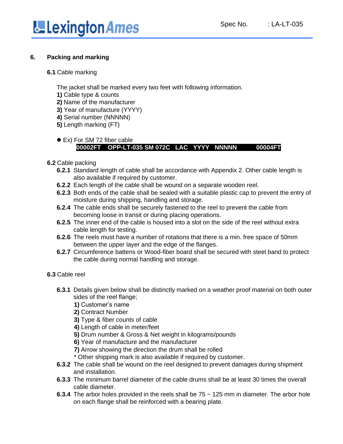

#### **6. Packing and marking**

#### **6.1** Cable marking

The jacket shall be marked every two feet with following information.

- **1)** Cable type & counts
- **2)** Name of the manufacturer
- **3)** Year of manufacture (YYYY)
- **4)** Serial number (NNNNN)
- **5)** Length marking (FT)

#### ● Ex) For SM 72 fiber cable  **00002FT OPP-LT-035 SM 072C LAC YYYY NNNNN 00004FT**

#### **6.2** Cable packing

- **6.2.1** Standard length of cable shall be accordance with Appendix 2. Other cable length is also available if required by customer.
- **6.2.2** Each length of the cable shall be wound on a separate wooden reel.
- **6.2.3** Both ends of the cable shall be sealed with a suitable plastic cap to prevent the entry of moisture during shipping, handling and storage.
- **6.2.4** The cable ends shall be securely fastened to the reel to prevent the cable from becoming loose in transit or during placing operations.
- **6.2.5** The inner end of the cable is housed into a slot on the side of the reel without extra cable length for testing.
- **6.2.6** The reels must have a number of rotations that there is a min. free space of 50mm between the upper layer and the edge of the flanges.
- **6.2.7** Circumference battens or Wood-fiber board shall be secured with steel band to protect the cable during normal handling and storage.

#### **6.3** Cable reel

- **6.3.1** Details given below shall be distinctly marked on a weather proof material on both outer sides of the reel flange;
	- **1)** Customer's name
	- **2)** Contract Number
	- **3)** Type & fiber counts of cable
	- **4)** Length of cable in meter/feet
	- **5)** Drum number & Gross & Net weight in kilograms/pounds
	- **6)** Year of manufacture and the manufacturer
	- **7)** Arrow showing the direction the drum shall be rolled
	- \* Other shipping mark is also available if required by customer.
- **6.3.2** The cable shall be wound on the reel designed to prevent damages during shipment and installation.
- **6.3.3** The minimum barrel diameter of the cable drums shall be at least 30 times the overall cable diameter.
- **6.3.4** The arbor holes provided in the reels shall be 75 ~ 125 mm in diameter. The arbor hole on each flange shall be reinforced with a bearing plate.